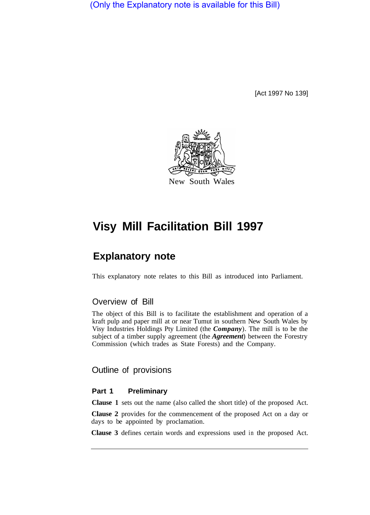(Only the Explanatory note is available for this Bill)

[Act 1997 No 139]



# **Visy Mill Facilitation Bill 1997**

## **Explanatory note**

This explanatory note relates to this Bill as introduced into Parliament.

## Overview of Bill

The object of this Bill is to facilitate the establishment and operation of a kraft pulp and paper mill at or near Tumut in southern New South Wales by Visy Industries Holdings Pty Limited (the *Company*). The mill is to be the subject of a timber supply agreement (the *Agreement*) between the Forestry Commission (which trades as State Forests) and the Company.

Outline of provisions

#### **Part 1 Preliminary**

**Clause 1** sets out the name (also called the short title) of the proposed Act.

**Clause 2** provides for the commencement of the proposed Act on a day or days to be appointed by proclamation.

**Clause 3** defines certain words and expressions used in the proposed Act.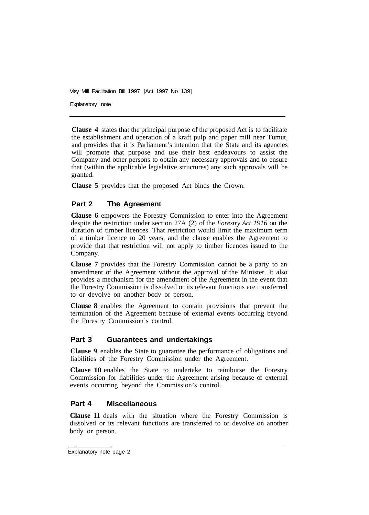Visy Mill Facilitation Bill 1997 [Act 1997 No 139] Explanatory note

**Clause 4** states that the principal purpose of the proposed Act is to facilitate the establishment and operation of a kraft pulp and paper mill near Tumut, and provides that it is Parliament's intention that the State and its agencies will promote that purpose and use their best endeavours to assist the Company and other persons to obtain any necessary approvals and to ensure that (within the applicable legislative structures) any such approvals will be granted.

**Clause 5** provides that the proposed Act binds the Crown.

## **Part 2 The Agreement**

**Clause 6** empowers the Forestry Commission to enter into the Agreement despite the restriction under section 27A (2) of the *Forestry Act 1916* on the duration of timber licences. That restriction would limit the maximum term of a timber licence to 20 years, and the clause enables the Agreement to provide that that restriction will not apply to timber licences issued to the Company.

**Clause 7** provides that the Forestry Commission cannot be a party to an amendment of the Agreement without the approval of the Minister. It also provides a mechanism for the amendment of the Agreement in the event that the Forestry Commission is dissolved or its relevant functions are transferred to or devolve on another body or person.

**Clause 8** enables the Agreement to contain provisions that prevent the termination of the Agreement because of external events occurring beyond the Forestry Commission's control.

## **Part 3 Guarantees and undertakings**

**Clause 9** enables the State to guarantee the performance of obligations and liabilities of the Forestry Commission under the Agreement.

**Clause 10** enables the State to undertake to reimburse the Forestry Commission for liabilities under the Agreement arising because of external events occurring beyond the Commission's control.

## **Part 4 Miscellaneous**

**Clause 11** deals with the situation where the Forestry Commission is dissolved or its relevant functions are transferred to or devolve on another body or person.